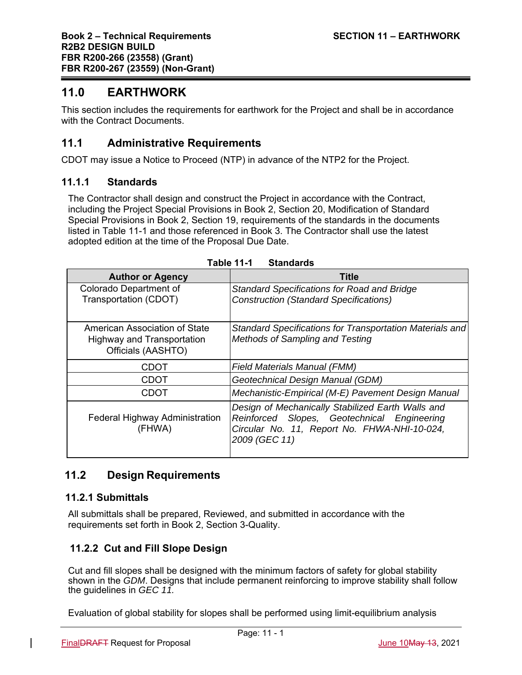# **11.0 EARTHWORK**

This section includes the requirements for earthwork for the Project and shall be in accordance with the Contract Documents.

# **11.1 Administrative Requirements**

CDOT may issue a Notice to Proceed (NTP) in advance of the NTP2 for the Project.

#### **11.1.1 Standards**

The Contractor shall design and construct the Project in accordance with the Contract, including the Project Special Provisions in Book 2, Section 20, Modification of Standard Special Provisions in Book 2, Section 19, requirements of the standards in the documents listed in Table 11-1 and those referenced in Book 3. The Contractor shall use the latest adopted edition at the time of the Proposal Due Date.

| <b>Author or Agency</b>                                                           | <b>Title</b>                                                                                                                                                      |  |  |
|-----------------------------------------------------------------------------------|-------------------------------------------------------------------------------------------------------------------------------------------------------------------|--|--|
| Colorado Department of<br>Transportation (CDOT)                                   | Standard Specifications for Road and Bridge<br><b>Construction (Standard Specifications)</b>                                                                      |  |  |
| American Association of State<br>Highway and Transportation<br>Officials (AASHTO) | Standard Specifications for Transportation Materials and<br><b>Methods of Sampling and Testing</b>                                                                |  |  |
| <b>CDOT</b>                                                                       | <b>Field Materials Manual (FMM)</b>                                                                                                                               |  |  |
| <b>CDOT</b>                                                                       | Geotechnical Design Manual (GDM)                                                                                                                                  |  |  |
| CDOT                                                                              | Mechanistic-Empirical (M-E) Pavement Design Manual                                                                                                                |  |  |
| <b>Federal Highway Administration</b><br>(FHWA)                                   | Design of Mechanically Stabilized Earth Walls and<br>Reinforced Slopes, Geotechnical Engineering<br>Circular No. 11, Report No. FHWA-NHI-10-024,<br>2009 (GEC 11) |  |  |

# **11.2 Design Requirements**

#### **11.2.1 Submittals**

All submittals shall be prepared, Reviewed, and submitted in accordance with the requirements set forth in Book 2, Section 3-Quality.

# **11.2.2 Cut and Fill Slope Design**

Cut and fill slopes shall be designed with the minimum factors of safety for global stability shown in the *GDM*. Designs that include permanent reinforcing to improve stability shall follow the guidelines in *GEC 11.* 

Evaluation of global stability for slopes shall be performed using limit-equilibrium analysis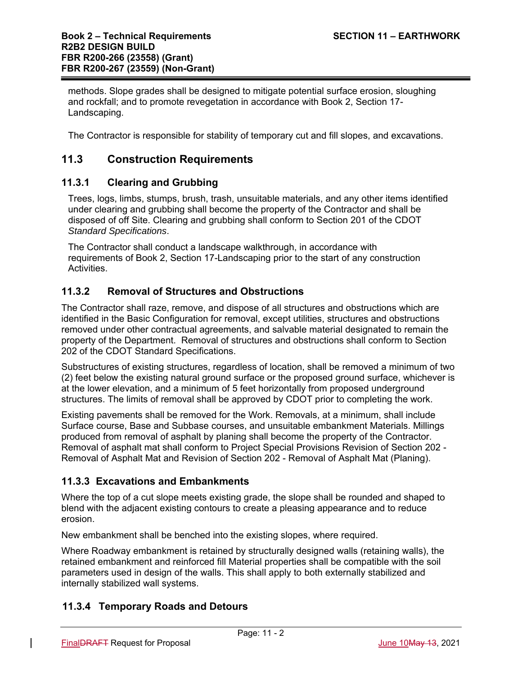methods. Slope grades shall be designed to mitigate potential surface erosion, sloughing and rockfall; and to promote revegetation in accordance with Book 2, Section 17- Landscaping.

The Contractor is responsible for stability of temporary cut and fill slopes, and excavations.

## **11.3 Construction Requirements**

#### **11.3.1 Clearing and Grubbing**

Trees, logs, limbs, stumps, brush, trash, unsuitable materials, and any other items identified under clearing and grubbing shall become the property of the Contractor and shall be disposed of off Site. Clearing and grubbing shall conform to Section 201 of the CDOT *Standard Specifications*.

The Contractor shall conduct a landscape walkthrough, in accordance with requirements of Book 2, Section 17-Landscaping prior to the start of any construction Activities.

### **11.3.2 Removal of Structures and Obstructions**

The Contractor shall raze, remove, and dispose of all structures and obstructions which are identified in the Basic Configuration for removal, except utilities, structures and obstructions removed under other contractual agreements, and salvable material designated to remain the property of the Department. Removal of structures and obstructions shall conform to Section 202 of the CDOT Standard Specifications.

Substructures of existing structures, regardless of location, shall be removed a minimum of two (2) feet below the existing natural ground surface or the proposed ground surface, whichever is at the lower elevation, and a minimum of 5 feet horizontally from proposed underground structures. The limits of removal shall be approved by CDOT prior to completing the work.

Existing pavements shall be removed for the Work. Removals, at a minimum, shall include Surface course, Base and Subbase courses, and unsuitable embankment Materials. Millings produced from removal of asphalt by planing shall become the property of the Contractor. Removal of asphalt mat shall conform to Project Special Provisions Revision of Section 202 - Removal of Asphalt Mat and Revision of Section 202 - Removal of Asphalt Mat (Planing).

## **11.3.3 Excavations and Embankments**

Where the top of a cut slope meets existing grade, the slope shall be rounded and shaped to blend with the adjacent existing contours to create a pleasing appearance and to reduce erosion.

New embankment shall be benched into the existing slopes, where required.

Where Roadway embankment is retained by structurally designed walls (retaining walls), the retained embankment and reinforced fill Material properties shall be compatible with the soil parameters used in design of the walls. This shall apply to both externally stabilized and internally stabilized wall systems.

## **11.3.4 Temporary Roads and Detours**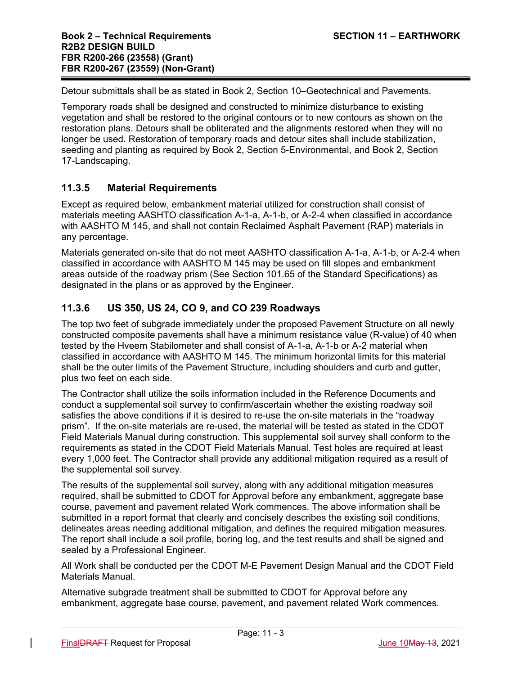Detour submittals shall be as stated in Book 2, Section 10–Geotechnical and Pavements.

Temporary roads shall be designed and constructed to minimize disturbance to existing vegetation and shall be restored to the original contours or to new contours as shown on the restoration plans. Detours shall be obliterated and the alignments restored when they will no longer be used. Restoration of temporary roads and detour sites shall include stabilization, seeding and planting as required by Book 2, Section 5-Environmental, and Book 2, Section 17-Landscaping.

## **11.3.5 Material Requirements**

Except as required below, embankment material utilized for construction shall consist of materials meeting AASHTO classification A-1-a, A-1-b, or A-2-4 when classified in accordance with AASHTO M 145, and shall not contain Reclaimed Asphalt Pavement (RAP) materials in any percentage.

Materials generated on-site that do not meet AASHTO classification A-1-a, A-1-b, or A-2-4 when classified in accordance with AASHTO M 145 may be used on fill slopes and embankment areas outside of the roadway prism (See Section 101.65 of the Standard Specifications) as designated in the plans or as approved by the Engineer.

## **11.3.6 US 350, US 24, CO 9, and CO 239 Roadways**

The top two feet of subgrade immediately under the proposed Pavement Structure on all newly constructed composite pavements shall have a minimum resistance value (R-value) of 40 when tested by the Hveem Stabilometer and shall consist of A-1-a, A-1-b or A-2 material when classified in accordance with AASHTO M 145. The minimum horizontal limits for this material shall be the outer limits of the Pavement Structure, including shoulders and curb and gutter, plus two feet on each side.

The Contractor shall utilize the soils information included in the Reference Documents and conduct a supplemental soil survey to confirm/ascertain whether the existing roadway soil satisfies the above conditions if it is desired to re-use the on-site materials in the "roadway prism". If the on-site materials are re-used, the material will be tested as stated in the CDOT Field Materials Manual during construction. This supplemental soil survey shall conform to the requirements as stated in the CDOT Field Materials Manual. Test holes are required at least every 1,000 feet. The Contractor shall provide any additional mitigation required as a result of the supplemental soil survey.

The results of the supplemental soil survey, along with any additional mitigation measures required, shall be submitted to CDOT for Approval before any embankment, aggregate base course, pavement and pavement related Work commences. The above information shall be submitted in a report format that clearly and concisely describes the existing soil conditions, delineates areas needing additional mitigation, and defines the required mitigation measures. The report shall include a soil profile, boring log, and the test results and shall be signed and sealed by a Professional Engineer.

All Work shall be conducted per the CDOT M-E Pavement Design Manual and the CDOT Field Materials Manual.

Alternative subgrade treatment shall be submitted to CDOT for Approval before any embankment, aggregate base course, pavement, and pavement related Work commences.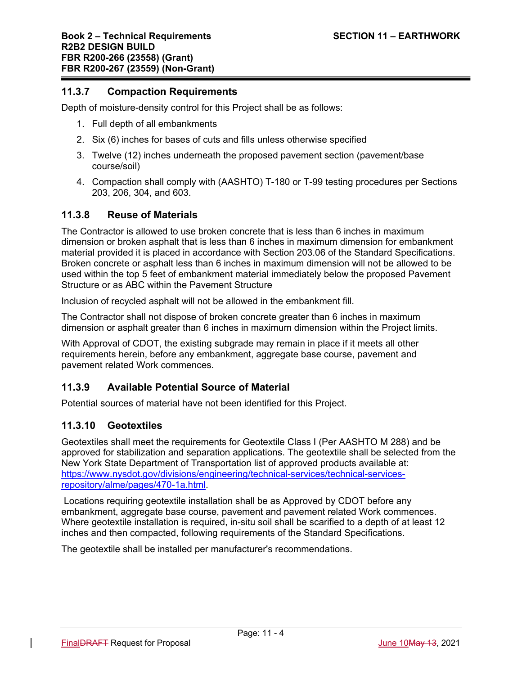### **11.3.7 Compaction Requirements**

Depth of moisture-density control for this Project shall be as follows:

- 1. Full depth of all embankments
- 2. Six (6) inches for bases of cuts and fills unless otherwise specified
- 3. Twelve (12) inches underneath the proposed pavement section (pavement/base course/soil)
- 4. Compaction shall comply with (AASHTO) T-180 or T-99 testing procedures per Sections 203, 206, 304, and 603.

#### **11.3.8 Reuse of Materials**

The Contractor is allowed to use broken concrete that is less than 6 inches in maximum dimension or broken asphalt that is less than 6 inches in maximum dimension for embankment material provided it is placed in accordance with Section 203.06 of the Standard Specifications. Broken concrete or asphalt less than 6 inches in maximum dimension will not be allowed to be used within the top 5 feet of embankment material immediately below the proposed Pavement Structure or as ABC within the Pavement Structure

Inclusion of recycled asphalt will not be allowed in the embankment fill.

The Contractor shall not dispose of broken concrete greater than 6 inches in maximum dimension or asphalt greater than 6 inches in maximum dimension within the Project limits.

With Approval of CDOT, the existing subgrade may remain in place if it meets all other requirements herein, before any embankment, aggregate base course, pavement and pavement related Work commences.

## **11.3.9 Available Potential Source of Material**

Potential sources of material have not been identified for this Project.

#### **11.3.10 Geotextiles**

Geotextiles shall meet the requirements for Geotextile Class I (Per AASHTO M 288) and be approved for stabilization and separation applications. The geotextile shall be selected from the New York State Department of Transportation list of approved products available at: https://www.nysdot.gov/divisions/engineering/technical-services/technical-servicesrepository/alme/pages/470-1a.html.

 Locations requiring geotextile installation shall be as Approved by CDOT before any embankment, aggregate base course, pavement and pavement related Work commences. Where geotextile installation is required, in-situ soil shall be scarified to a depth of at least 12 inches and then compacted, following requirements of the Standard Specifications.

The geotextile shall be installed per manufacturer's recommendations.